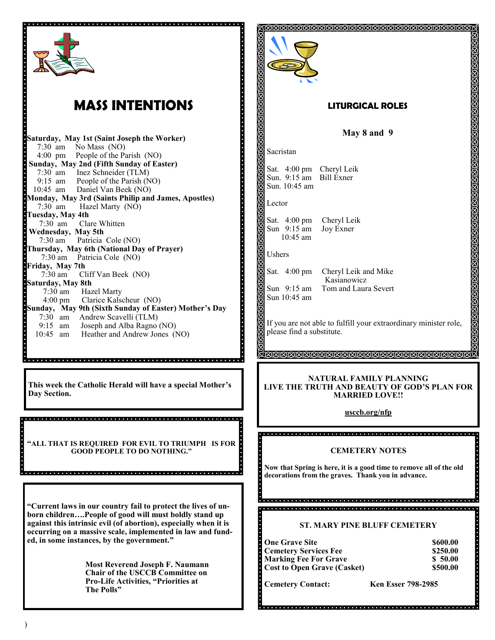|                                                                                                                                                                                                                                                                                                                                                                                                                            | <u>KAMMAMMAMMAMMAMMAMMAMMAMMAMMAM</u>                                                                                                                                                                                                                                      |  |
|----------------------------------------------------------------------------------------------------------------------------------------------------------------------------------------------------------------------------------------------------------------------------------------------------------------------------------------------------------------------------------------------------------------------------|----------------------------------------------------------------------------------------------------------------------------------------------------------------------------------------------------------------------------------------------------------------------------|--|
| <b>MASS INTENTIONS</b>                                                                                                                                                                                                                                                                                                                                                                                                     | <b>LITURGICAL ROLES</b>                                                                                                                                                                                                                                                    |  |
| Saturday, May 1st (Saint Joseph the Worker)                                                                                                                                                                                                                                                                                                                                                                                | May 8 and 9                                                                                                                                                                                                                                                                |  |
| 7:30 am No Mass (NO)<br>4:00 pm People of the Parish (NO)                                                                                                                                                                                                                                                                                                                                                                  | Sacristan                                                                                                                                                                                                                                                                  |  |
| Sunday, May 2nd (Fifth Sunday of Easter)<br>7:30 am Inez Schneider (TLM)<br>9:15 am People of the Parish (NO)<br>10:45 am Daniel Van Beek (NO)<br>Monday, May 3rd (Saints Philip and James, Apostles)                                                                                                                                                                                                                      | Sat. 4:00 pm Cheryl Leik<br>Sun. 9:15 am Bill Exner<br>Sun. 10:45 am                                                                                                                                                                                                       |  |
| $7:30$ am<br>Hazel Marty (NO)<br>Tuesday, May 4th                                                                                                                                                                                                                                                                                                                                                                          | Lector                                                                                                                                                                                                                                                                     |  |
| Clare Whitten<br>$7:30$ am<br>Wednesday, May 5th<br>7:30 am Patricia Cole (NO)<br>Thursday, May 6th (National Day of Prayer)                                                                                                                                                                                                                                                                                               | Sat. 4:00 pm<br>Cheryl Leik<br>Sun 9:15 am<br>Joy Exner<br>10:45 am                                                                                                                                                                                                        |  |
| 7:30 am Patricia Cole (NO)<br>Friday, May 7th                                                                                                                                                                                                                                                                                                                                                                              | ă<br>Ushers                                                                                                                                                                                                                                                                |  |
| $7:30$ am<br>Cliff Van Beek (NO)<br>Saturday, May 8th<br>7:30 am Hazel Marty<br>4:00 pm Clarice Kalscheur (NO)                                                                                                                                                                                                                                                                                                             | Sat. 4:00 pm<br>Cheryl Leik and Mike<br>Kasianowicz<br>Sun $9:15$ am<br>Tom and Laura Severt<br>Sun 10:45 am                                                                                                                                                               |  |
| Sunday, May 9th (Sixth Sunday of Easter) Mother's Day<br>7:30 am Andrew Scavelli (TLM)<br>9:15 am Joseph and Alba Ragno (NO)<br>10:45 am Heather and Andrew Jones (NO)                                                                                                                                                                                                                                                     | If you are not able to fulfill your extraordinary minister role,<br>please find a substitute.                                                                                                                                                                              |  |
| This week the Catholic Herald will have a special Mother's<br>Day Section.                                                                                                                                                                                                                                                                                                                                                 | <u>Farmandanananananananananananan</u><br>NATURAL FAMILY PLANNING<br>LIVE THE TRUTH AND BEAUTY OF GOD'S PLAN FOR<br><b>MARRIED LOVE!!</b><br>usccb.org/nfp                                                                                                                 |  |
| "ALL THAT IS REQUIRED FOR EVIL TO TRIUMPH IS FOR<br><b>GOOD PEOPLE TO DO NOTHING."</b>                                                                                                                                                                                                                                                                                                                                     | <b>CEMETERY NOTES</b><br>Now that Spring is here, it is a good time to remove all of the old<br>decorations from the graves. Thank you in advance.                                                                                                                         |  |
| "Current laws in our country fail to protect the lives of un-<br>born childrenPeople of good will must boldly stand up<br>against this intrinsic evil (of abortion), especially when it is<br>occurring on a massive scale, implemented in law and fund-<br>ed, in some instances, by the government."<br><b>Most Reverend Joseph F. Naumann</b><br>Chair of the USCCB Committee on<br>Pro-Life Activities, "Priorities at | <b>ST. MARY PINE BLUFF CEMETERY</b><br><b>One Grave Site</b><br>\$600.00<br><b>Cemetery Services Fee</b><br>\$250.00<br><b>Marking Fee For Grave</b><br>\$50.00<br><b>Cost to Open Grave (Casket)</b><br>\$500.00<br><b>Cemetery Contact:</b><br><b>Ken Esser 798-2985</b> |  |
| The Polls"                                                                                                                                                                                                                                                                                                                                                                                                                 |                                                                                                                                                                                                                                                                            |  |